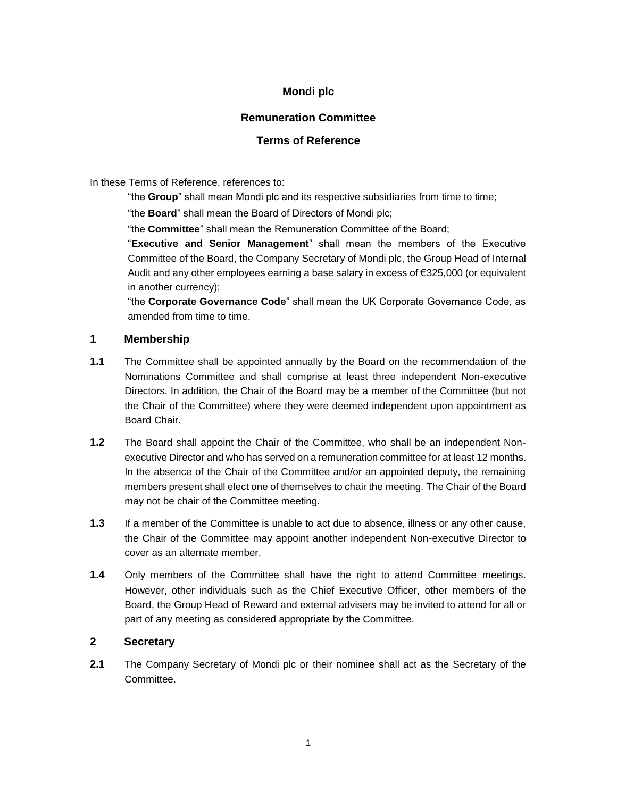# **Mondi plc**

## **Remuneration Committee**

## **Terms of Reference**

In these Terms of Reference, references to:

"the **Group**" shall mean Mondi plc and its respective subsidiaries from time to time;

"the **Board**" shall mean the Board of Directors of Mondi plc;

"the **Committee**" shall mean the Remuneration Committee of the Board;

"**Executive and Senior Management**" shall mean the members of the Executive Committee of the Board, the Company Secretary of Mondi plc, the Group Head of Internal Audit and any other employees earning a base salary in excess of €325,000 (or equivalent in another currency);

"the **Corporate Governance Code**" shall mean the UK Corporate Governance Code, as amended from time to time.

#### **1 Membership**

- **1.1** The Committee shall be appointed annually by the Board on the recommendation of the Nominations Committee and shall comprise at least three independent Non-executive Directors. In addition, the Chair of the Board may be a member of the Committee (but not the Chair of the Committee) where they were deemed independent upon appointment as Board Chair.
- **1.2** The Board shall appoint the Chair of the Committee, who shall be an independent Nonexecutive Director and who has served on a remuneration committee for at least 12 months. In the absence of the Chair of the Committee and/or an appointed deputy, the remaining members present shall elect one of themselves to chair the meeting. The Chair of the Board may not be chair of the Committee meeting.
- **1.3** If a member of the Committee is unable to act due to absence, illness or any other cause, the Chair of the Committee may appoint another independent Non-executive Director to cover as an alternate member.
- **1.4** Only members of the Committee shall have the right to attend Committee meetings. However, other individuals such as the Chief Executive Officer, other members of the Board, the Group Head of Reward and external advisers may be invited to attend for all or part of any meeting as considered appropriate by the Committee.

#### **2 Secretary**

**2.1** The Company Secretary of Mondi plc or their nominee shall act as the Secretary of the Committee.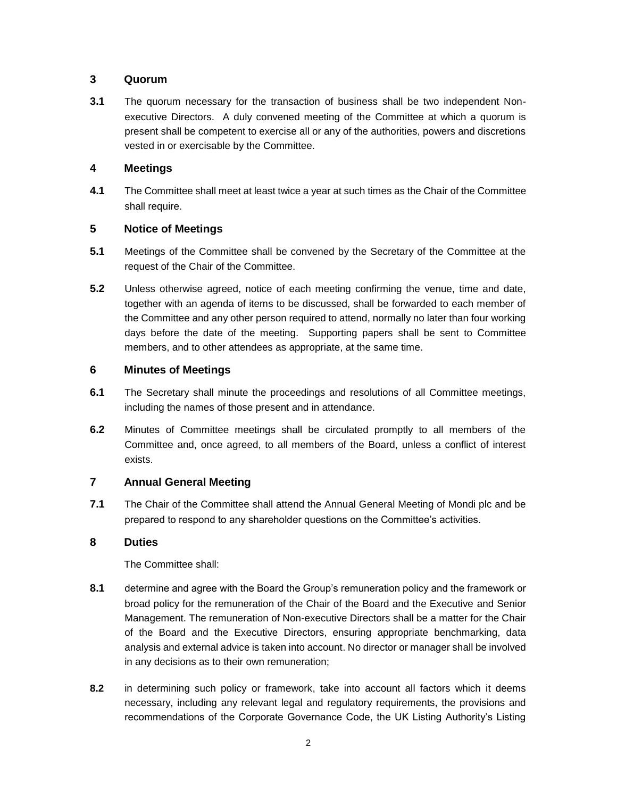### **3 Quorum**

**3.1** The quorum necessary for the transaction of business shall be two independent Nonexecutive Directors. A duly convened meeting of the Committee at which a quorum is present shall be competent to exercise all or any of the authorities, powers and discretions vested in or exercisable by the Committee.

## **4 Meetings**

**4.1** The Committee shall meet at least twice a year at such times as the Chair of the Committee shall require.

### **5 Notice of Meetings**

- **5.1** Meetings of the Committee shall be convened by the Secretary of the Committee at the request of the Chair of the Committee.
- **5.2** Unless otherwise agreed, notice of each meeting confirming the venue, time and date, together with an agenda of items to be discussed, shall be forwarded to each member of the Committee and any other person required to attend, normally no later than four working days before the date of the meeting. Supporting papers shall be sent to Committee members, and to other attendees as appropriate, at the same time.

### **6 Minutes of Meetings**

- **6.1** The Secretary shall minute the proceedings and resolutions of all Committee meetings, including the names of those present and in attendance.
- **6.2** Minutes of Committee meetings shall be circulated promptly to all members of the Committee and, once agreed, to all members of the Board, unless a conflict of interest exists.

## **7 Annual General Meeting**

**7.1** The Chair of the Committee shall attend the Annual General Meeting of Mondi plc and be prepared to respond to any shareholder questions on the Committee's activities.

#### **8 Duties**

The Committee shall:

- **8.1** determine and agree with the Board the Group's remuneration policy and the framework or broad policy for the remuneration of the Chair of the Board and the Executive and Senior Management. The remuneration of Non-executive Directors shall be a matter for the Chair of the Board and the Executive Directors, ensuring appropriate benchmarking, data analysis and external advice is taken into account. No director or manager shall be involved in any decisions as to their own remuneration;
- **8.2** in determining such policy or framework, take into account all factors which it deems necessary, including any relevant legal and regulatory requirements, the provisions and recommendations of the Corporate Governance Code, the UK Listing Authority's Listing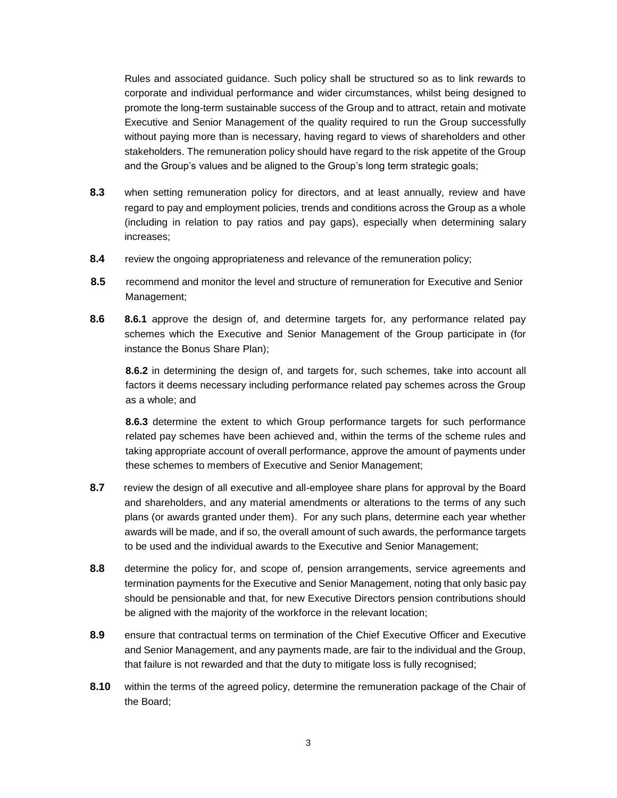Rules and associated guidance. Such policy shall be structured so as to link rewards to corporate and individual performance and wider circumstances, whilst being designed to promote the long-term sustainable success of the Group and to attract, retain and motivate Executive and Senior Management of the quality required to run the Group successfully without paying more than is necessary, having regard to views of shareholders and other stakeholders. The remuneration policy should have regard to the risk appetite of the Group and the Group's values and be aligned to the Group's long term strategic goals;

- **8.3** when setting remuneration policy for directors, and at least annually, review and have regard to pay and employment policies, trends and conditions across the Group as a whole (including in relation to pay ratios and pay gaps), especially when determining salary increases;
- **8.4** review the ongoing appropriateness and relevance of the remuneration policy;
- **8.5** recommend and monitor the level and structure of remuneration for Executive and Senior Management;
- **8.6 8.6.1** approve the design of, and determine targets for, any performance related pay schemes which the Executive and Senior Management of the Group participate in (for instance the Bonus Share Plan);

**8.6.2** in determining the design of, and targets for, such schemes, take into account all factors it deems necessary including performance related pay schemes across the Group as a whole; and

**8.6.3** determine the extent to which Group performance targets for such performance related pay schemes have been achieved and, within the terms of the scheme rules and taking appropriate account of overall performance, approve the amount of payments under these schemes to members of Executive and Senior Management;

- **8.7** review the design of all executive and all-employee share plans for approval by the Board and shareholders, and any material amendments or alterations to the terms of any such plans (or awards granted under them). For any such plans, determine each year whether awards will be made, and if so, the overall amount of such awards, the performance targets to be used and the individual awards to the Executive and Senior Management;
- **8.8** determine the policy for, and scope of, pension arrangements, service agreements and termination payments for the Executive and Senior Management, noting that only basic pay should be pensionable and that, for new Executive Directors pension contributions should be aligned with the majority of the workforce in the relevant location;
- **8.9** ensure that contractual terms on termination of the Chief Executive Officer and Executive and Senior Management, and any payments made, are fair to the individual and the Group, that failure is not rewarded and that the duty to mitigate loss is fully recognised;
- **8.10** within the terms of the agreed policy, determine the remuneration package of the Chair of the Board;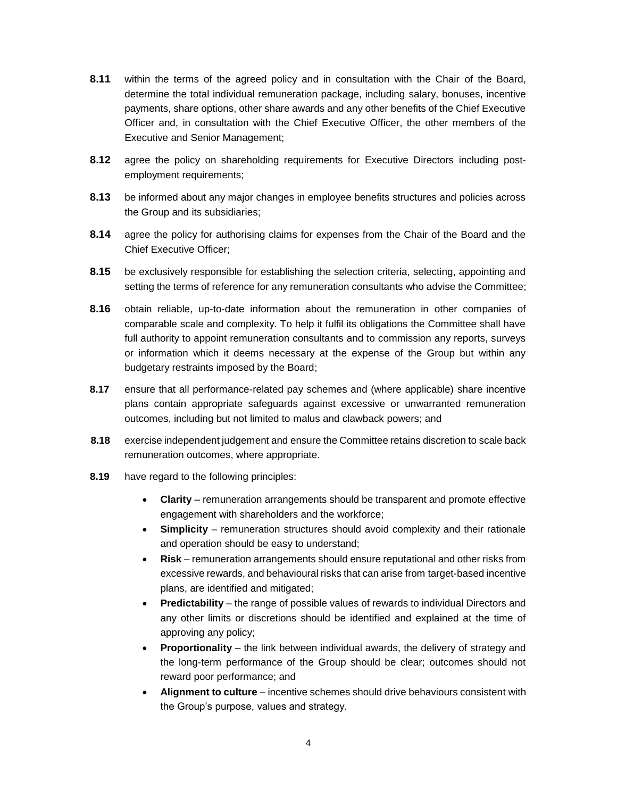- **8.11** within the terms of the agreed policy and in consultation with the Chair of the Board, determine the total individual remuneration package, including salary, bonuses, incentive payments, share options, other share awards and any other benefits of the Chief Executive Officer and, in consultation with the Chief Executive Officer, the other members of the Executive and Senior Management;
- **8.12** agree the policy on shareholding requirements for Executive Directors including postemployment requirements;
- **8.13** be informed about any major changes in employee benefits structures and policies across the Group and its subsidiaries;
- **8.14** agree the policy for authorising claims for expenses from the Chair of the Board and the Chief Executive Officer;
- **8.15** be exclusively responsible for establishing the selection criteria, selecting, appointing and setting the terms of reference for any remuneration consultants who advise the Committee;
- **8.16** obtain reliable, up-to-date information about the remuneration in other companies of comparable scale and complexity. To help it fulfil its obligations the Committee shall have full authority to appoint remuneration consultants and to commission any reports, surveys or information which it deems necessary at the expense of the Group but within any budgetary restraints imposed by the Board;
- **8.17** ensure that all performance-related pay schemes and (where applicable) share incentive plans contain appropriate safeguards against excessive or unwarranted remuneration outcomes, including but not limited to malus and clawback powers; and
- **8.18** exercise independent judgement and ensure the Committee retains discretion to scale back remuneration outcomes, where appropriate.
- **8.19** have regard to the following principles:
	- **Clarity** remuneration arrangements should be transparent and promote effective engagement with shareholders and the workforce;
	- **Simplicity** remuneration structures should avoid complexity and their rationale and operation should be easy to understand;
	- **Risk** remuneration arrangements should ensure reputational and other risks from excessive rewards, and behavioural risks that can arise from target-based incentive plans, are identified and mitigated;
	- **Predictability** the range of possible values of rewards to individual Directors and any other limits or discretions should be identified and explained at the time of approving any policy;
	- **Proportionality** the link between individual awards, the delivery of strategy and the long-term performance of the Group should be clear; outcomes should not reward poor performance; and
	- **Alignment to culture** incentive schemes should drive behaviours consistent with the Group's purpose, values and strategy.